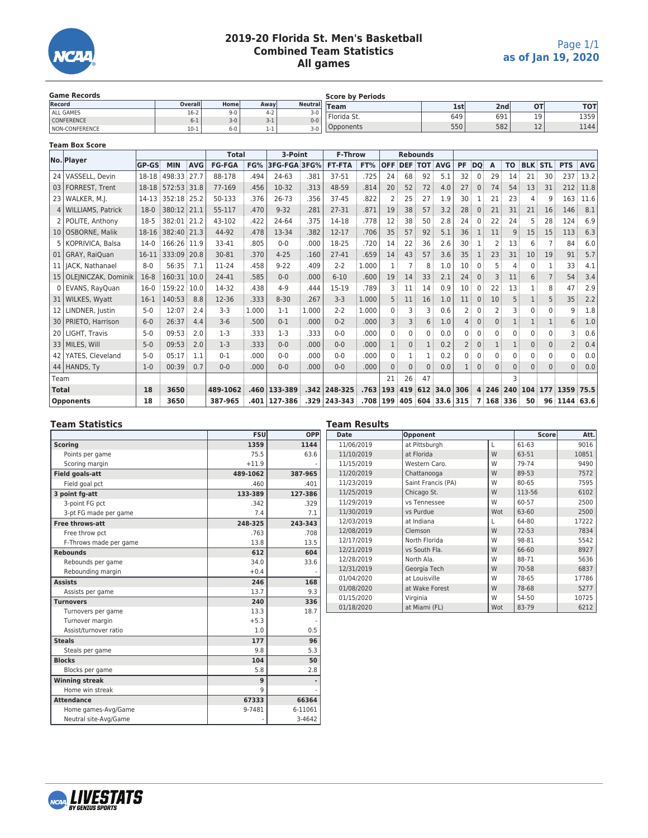

# **2019-20 Florida St. Men's Basketball Combined Team Statistics All games**

| <b>Game Records</b>   |         |         |         | <b>Score by Periods</b> |               |     |                  |              |            |  |
|-----------------------|---------|---------|---------|-------------------------|---------------|-----|------------------|--------------|------------|--|
| Record                | Overall | Homel   | Away    | <b>Neutrall</b>         | Team          | 1st | 2nd <sub>1</sub> | 01           | <b>TOT</b> |  |
| ALL GAMES             | $16-2$  | $9 - 0$ | $4 - 2$ | $3-0$                   | ' Florida St. | 649 |                  | 10           |            |  |
| <b>CONFERENCE</b>     | $0 - 1$ | $3-0$ . | 3- L    | $0 - 0$                 |               |     | 691              | --           | 1359       |  |
| <b>NON-CONFERENCE</b> | $10-1$  | $6-0$   | 1-1     | $3-0$                   | Opponents     | 550 | 582              | $\sim$<br>ᅩᄼ | 1144       |  |

#### **Team Box Score**

|                 | No. Player             |              |             |            | <b>Total</b>  |       | 3-Point      |       | <b>F-Throw</b>        |       | <b>Rebounds</b> |              |              |                      |                |              |          |              |              |                |                   |            |
|-----------------|------------------------|--------------|-------------|------------|---------------|-------|--------------|-------|-----------------------|-------|-----------------|--------------|--------------|----------------------|----------------|--------------|----------|--------------|--------------|----------------|-------------------|------------|
|                 |                        | <b>GP-GS</b> | <b>MIN</b>  | <b>AVG</b> | <b>FG-FGA</b> | FG%   | 3FG-FGA 3FG% |       | <b>FT-FTA</b>         | FT%   | <b>OFF</b>      |              |              | <b>DEF TOT AVG</b>   | <b>PF</b>      | DQ           | A        | <b>TO</b>    |              | <b>BLK STL</b> | <b>PTS</b>        | <b>AVG</b> |
|                 | 24 VASSELL, Devin      | 18-18        | 498:33      | 27.7       | 88-178        | .494  | 24-63        | .381  | 37-51                 | .725  | 24              | 68           | 92           | 5.1                  | 32             | $\Omega$     | 29       | 14           | 21           | 30             | 237               | 13.2       |
|                 | 03   FORREST, Trent    | 18-18        | 572:53 31.8 |            | 77-169        | .456  | 10-32        | .313  | 48-59                 | .814  | 20              | 52           | 72           | 4.0                  | 27             | $\mathbf{0}$ | 74       | 54           | 13           | 31             | 212               | 11.8       |
|                 | 23 WALKER, M.I.        | 14-13        | 352:18 25.2 |            | 50-133        | .376  | $26 - 73$    | .356  | $37-45$               | .822  |                 | 25           | 27           | 1.9                  | 30             |              | 21       | 23           | 4            |                | 163               | 11.6       |
|                 | 4 WILLIAMS, Patrick    | $18-0$       | 380:12 21.1 |            | 55-117        | .470  | $9 - 32$     | .281  | 27-31                 | .871  | 19              | 38           | 57           | 3.2                  | 28             | $\Omega$     | 21       | 31           | 21           | 16             | 146               | 8.1        |
|                 | 2   POLITE, Anthony    | 18-5         | 382:01      | 21.2       | 43-102        | .422  | 24-64        | .375  | 14-18                 | .778  | 12              | 38           | 50           | 2.8                  | 24             | 0            | 22       | 24           | 5            | 28             | 124               | 6.9        |
|                 | 10 OSBORNE, Malik      | 18-16        | 382:40 21.3 |            | 44-92         | .478  | 13-34        | .382  | $12 - 17$             | .706  | 35              | 57           | 92           | 5.1                  | 36             | 1            | 11       | 9            | 15           | 15             | 113               | 6.3        |
|                 | KOPRIVICA, Balsa       | $14-0$       | 166:26 11.9 |            | 33-41         | .805  | $0 - 0$      | .000  | 18-25                 | .720  | 14              | 22           | 36           | 2.6                  | 30             |              |          | 13           | 6            |                | 84                | 6.0        |
|                 | 01 GRAY, RaiQuan       | 16-11        | 333:09 20.8 |            | 30-81         | .370  | $4 - 25$     | .160  | $27 - 41$             | .659  | 14              | 43           | 57           | 3.6                  | 35             |              | 23       | 31           | 10           | 19             | 91                | 5.7        |
|                 | 11   JACK, Nathanael   | $8-0$        | 56:35       | 7.1        | 11-24         | .458  | $9 - 22$     | .409  | $2 - 2$               | 1.000 | 1               |              | 8            | 1.0                  | 10             |              |          | Δ            |              |                | 33                | 4.1        |
|                 | 15 OLEJNICZAK, Dominik | $16-8$       | 160:31 10.0 |            | 24-41         | .585  | $0 - 0$      | .000  | $6 - 10$              | .600  | 19              | 14           | 33           | 2.1                  | 24             | $\Omega$     |          | 11           | 6            | $\overline{7}$ | 54                | 3.4        |
|                 | 0 EVANS, RayQuan       | $16-0$       | 159:22      | 10.0       | 14-32         | .438  | $4 - 9$      | .444  | 15-19                 | .789  |                 | 11           | 14           | 0.9                  | 10             | $\Omega$     | 22       | 13           |              | 8              | 47                | 2.9        |
|                 | 31   WILKES, Wyatt     | $16-1$       | 140:53      | 8.8        | 12-36         | .333  | $8 - 30$     | .267  | $3 - 3$               | 1.000 | 5               | 11           | 16           | 1.0                  | 11             | $\Omega$     | 10       | 5            |              | 5              | 35                | 2.2        |
| 12 <sub>1</sub> | LINDNER, Justin        | $5-0$        | 12:07       | 2.4        | $3-3$         | 1.000 | $1 - 1$      | 1.000 | $2 - 2$               | 1.000 | $\Omega$        | 3            | 3            | 0.6                  |                | $\Omega$     |          | 3            | $\mathbf{0}$ | 0              | 9                 | 1.8        |
|                 | 30   PRIETO, Harrison  | $6-0$        | 26:37       | 4.4        | $3-6$         | .500  | $0 - 1$      | .000  | $0 - 2$               | .000  | $\overline{3}$  | 3            | 6            | 1.0                  | $\overline{4}$ | $\mathbf{0}$ | $\Omega$ |              |              |                | 6                 | 1.0        |
|                 | 20   LIGHT, Travis     | $5-0$        | 09:53       | 2.0        | $1 - 3$       | .333  | $1-3$        | .333  | $0 - 0$               | .000  |                 | $\Omega$     | $\Omega$     | 0.0                  | $\Omega$       | 0            |          | $\Omega$     | $\mathbf{0}$ | 0              |                   | 0.6        |
|                 | 33   MILES, Will       | $5-0$        | 09:53       | 2.0        | $1 - 3$       | .333  | $0 - 0$      | .000  | $0 - 0$               | .000  |                 | $\mathbf{0}$ | $\mathbf{1}$ | 0.2                  |                | $\mathbf{0}$ |          |              | $\mathbf{0}$ | 0              | $\overline{2}$    | 0.4        |
|                 | 42   YATES, Cleveland  | $5-0$        | 05:17       | 1.1        | $0 - 1$       | .000  | $0 - 0$      | .000  | $0 - 0$               | .000  | $\Omega$        |              | 1            | 0.2                  | $\Omega$       | $\Omega$     | 0        | $\Omega$     | $\mathbf{0}$ | 0              | 0                 | 0.0        |
|                 | 44 HANDS, Ty           | $1-0$        | 00:39       | 0.7        | $0 - 0$       | .000  | $0 - 0$      | .000  | $0 - 0$               | .000  | $\Omega$        | $\Omega$     | $\Omega$     | 0.0                  |                | $\mathbf{0}$ | $\Omega$ | $\mathbf{0}$ | $\Omega$     | $\Omega$       | $\Omega$          | 0.0        |
| Team            |                        |              |             |            |               |       |              |       |                       |       | 21              | 26           | 47           |                      |                |              |          | 3            |              |                |                   |            |
| <b>Total</b>    |                        | 18           | 3650        |            | 489-1062      | .460  | 133-389      |       | $.342 \mid 248 - 325$ | .763  |                 |              |              | 193 419 612 34.0 306 |                |              |          | 4 246 240    |              |                | 104 177 1359 75.5 |            |
|                 | <b>Opponents</b>       | 18           | 3650        |            | 387-965       | .401  | 127-386      |       | .329 243-343          | .708  | <b>199</b>      |              |              | 405 604 33.6 315     |                | 7            | 168 336  |              | 50           |                | 96 1144 63.6      |            |

#### **Team Statistics**

|                        | <b>FSU</b> | OPP     |
|------------------------|------------|---------|
| <b>Scoring</b>         | 1359       | 1144    |
| Points per game        | 75.5       | 63.6    |
| Scoring margin         | $+11.9$    |         |
| <b>Field goals-att</b> | 489-1062   | 387-965 |
| Field goal pct         | .460       | .401    |
| 3 point fg-att         | 133-389    | 127-386 |
| 3-point FG pct         | .342       | .329    |
| 3-pt FG made per game  | 7.4        | 7.1     |
| <b>Free throws-att</b> | 248-325    | 243-343 |
| Free throw pct         | .763       | .708    |
| F-Throws made per game | 13.8       | 13.5    |
| <b>Rebounds</b>        | 612        | 604     |
| Rebounds per game      | 34.0       | 33.6    |
| Rebounding margin      | $+0.4$     |         |
| <b>Assists</b>         | 246        | 168     |
| Assists per game       | 13.7       | 9.3     |
| <b>Turnovers</b>       | 240        | 336     |
| Turnovers per game     | 13.3       | 18.7    |
| Turnover margin        | $+5.3$     |         |
| Assist/turnover ratio  | 1.0        | 0.5     |
| <b>Steals</b>          | 177        | 96      |
| Steals per game        | 9.8        | 5.3     |
| <b>Blocks</b>          | 104        | 50      |
| Blocks per game        | 5.8        | 2.8     |
| <b>Winning streak</b>  | 9          | ٠       |
| Home win streak        | q          |         |
| <b>Attendance</b>      | 67333      | 66364   |
| Home games-Avg/Game    | 9-7481     | 6-11061 |
| Neutral site-Avg/Game  | ٠          | 3-4642  |

| <b>Date</b> | Opponent           |     | <b>Score</b> | Att.  |
|-------------|--------------------|-----|--------------|-------|
| 11/06/2019  | at Pittsburgh      | L   | 61-63        | 9016  |
| 11/10/2019  | at Florida         | W   | 63-51        | 10851 |
| 11/15/2019  | Western Caro.      | W   | 79-74        | 9490  |
| 11/20/2019  | Chattanooga        | W   | 89-53        | 7572  |
| 11/23/2019  | Saint Francis (PA) | W   | 80-65        | 7595  |
| 11/25/2019  | Chicago St.        | W   | 113-56       | 6102  |
| 11/29/2019  | vs Tennessee       | W   | 60-57        | 2500  |
| 11/30/2019  | vs Purdue          | Wot | 63-60        | 2500  |
| 12/03/2019  | at Indiana         |     | 64-80        | 17222 |
| 12/08/2019  | Clemson            | W   | $72 - 53$    | 7834  |
| 12/17/2019  | North Florida      | W   | 98-81        | 5542  |
| 12/21/2019  | vs South Fla.      | W   | 66-60        | 8927  |
| 12/28/2019  | North Ala.         | W   | 88-71        | 5636  |
| 12/31/2019  | Georgia Tech       | W   | 70-58        | 6837  |
| 01/04/2020  | at Louisville      | W   | 78-65        | 17786 |
| 01/08/2020  | at Wake Forest     | W   | 78-68        | 5277  |
| 01/15/2020  | Virginia           | W   | 54-50        | 10725 |
| 01/18/2020  | at Miami (FL)      | Wot | 83-79        | 6212  |